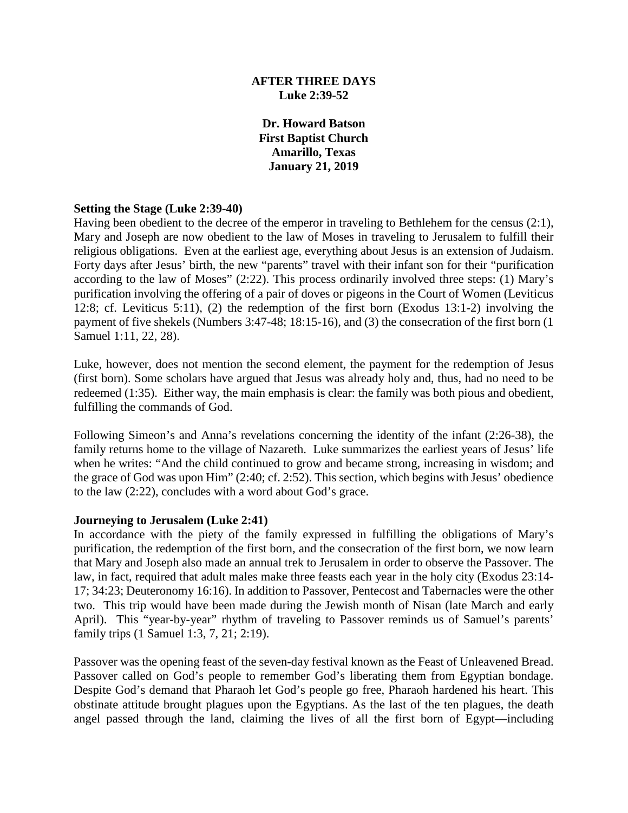### **AFTER THREE DAYS Luke 2:39-52**

**Dr. Howard Batson First Baptist Church Amarillo, Texas January 21, 2019**

#### **Setting the Stage (Luke 2:39-40)**

Having been obedient to the decree of the emperor in traveling to Bethlehem for the census (2:1), Mary and Joseph are now obedient to the law of Moses in traveling to Jerusalem to fulfill their religious obligations. Even at the earliest age, everything about Jesus is an extension of Judaism. Forty days after Jesus' birth, the new "parents" travel with their infant son for their "purification according to the law of Moses" (2:22). This process ordinarily involved three steps: (1) Mary's purification involving the offering of a pair of doves or pigeons in the Court of Women (Leviticus 12:8; cf. Leviticus 5:11), (2) the redemption of the first born (Exodus 13:1-2) involving the payment of five shekels (Numbers 3:47-48; 18:15-16), and (3) the consecration of the first born (1 Samuel 1:11, 22, 28).

Luke, however, does not mention the second element, the payment for the redemption of Jesus (first born). Some scholars have argued that Jesus was already holy and, thus, had no need to be redeemed (1:35). Either way, the main emphasis is clear: the family was both pious and obedient, fulfilling the commands of God.

Following Simeon's and Anna's revelations concerning the identity of the infant (2:26-38), the family returns home to the village of Nazareth. Luke summarizes the earliest years of Jesus' life when he writes: "And the child continued to grow and became strong, increasing in wisdom; and the grace of God was upon Him" (2:40; cf. 2:52). This section, which begins with Jesus' obedience to the law (2:22), concludes with a word about God's grace.

#### **Journeying to Jerusalem (Luke 2:41)**

In accordance with the piety of the family expressed in fulfilling the obligations of Mary's purification, the redemption of the first born, and the consecration of the first born, we now learn that Mary and Joseph also made an annual trek to Jerusalem in order to observe the Passover. The law, in fact, required that adult males make three feasts each year in the holy city (Exodus 23:14- 17; 34:23; Deuteronomy 16:16). In addition to Passover, Pentecost and Tabernacles were the other two. This trip would have been made during the Jewish month of Nisan (late March and early April). This "year-by-year" rhythm of traveling to Passover reminds us of Samuel's parents' family trips (1 Samuel 1:3, 7, 21; 2:19).

Passover was the opening feast of the seven-day festival known as the Feast of Unleavened Bread. Passover called on God's people to remember God's liberating them from Egyptian bondage. Despite God's demand that Pharaoh let God's people go free, Pharaoh hardened his heart. This obstinate attitude brought plagues upon the Egyptians. As the last of the ten plagues, the death angel passed through the land, claiming the lives of all the first born of Egypt—including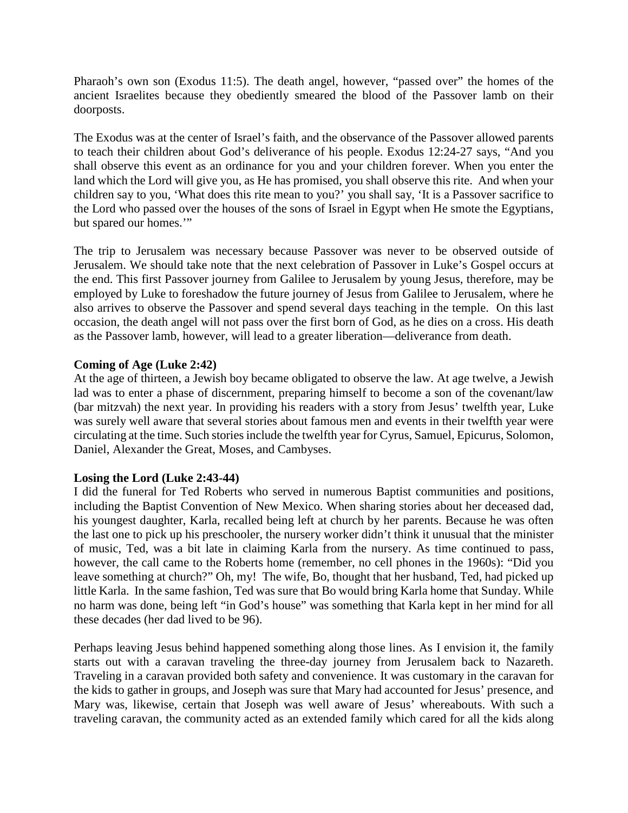Pharaoh's own son (Exodus 11:5). The death angel, however, "passed over" the homes of the ancient Israelites because they obediently smeared the blood of the Passover lamb on their doorposts.

The Exodus was at the center of Israel's faith, and the observance of the Passover allowed parents to teach their children about God's deliverance of his people. Exodus 12:24-27 says, "And you shall observe this event as an ordinance for you and your children forever. When you enter the land which the Lord will give you, as He has promised, you shall observe this rite. And when your children say to you, 'What does this rite mean to you?' you shall say, 'It is a Passover sacrifice to the Lord who passed over the houses of the sons of Israel in Egypt when He smote the Egyptians, but spared our homes.'"

The trip to Jerusalem was necessary because Passover was never to be observed outside of Jerusalem. We should take note that the next celebration of Passover in Luke's Gospel occurs at the end. This first Passover journey from Galilee to Jerusalem by young Jesus, therefore, may be employed by Luke to foreshadow the future journey of Jesus from Galilee to Jerusalem, where he also arrives to observe the Passover and spend several days teaching in the temple. On this last occasion, the death angel will not pass over the first born of God, as he dies on a cross. His death as the Passover lamb, however, will lead to a greater liberation—deliverance from death.

# **Coming of Age (Luke 2:42)**

At the age of thirteen, a Jewish boy became obligated to observe the law. At age twelve, a Jewish lad was to enter a phase of discernment, preparing himself to become a son of the covenant/law (bar mitzvah) the next year. In providing his readers with a story from Jesus' twelfth year, Luke was surely well aware that several stories about famous men and events in their twelfth year were circulating at the time. Such stories include the twelfth year for Cyrus, Samuel, Epicurus, Solomon, Daniel, Alexander the Great, Moses, and Cambyses.

#### **Losing the Lord (Luke 2:43-44)**

I did the funeral for Ted Roberts who served in numerous Baptist communities and positions, including the Baptist Convention of New Mexico. When sharing stories about her deceased dad, his youngest daughter, Karla, recalled being left at church by her parents. Because he was often the last one to pick up his preschooler, the nursery worker didn't think it unusual that the minister of music, Ted, was a bit late in claiming Karla from the nursery. As time continued to pass, however, the call came to the Roberts home (remember, no cell phones in the 1960s): "Did you leave something at church?" Oh, my! The wife, Bo, thought that her husband, Ted, had picked up little Karla. In the same fashion, Ted was sure that Bo would bring Karla home that Sunday. While no harm was done, being left "in God's house" was something that Karla kept in her mind for all these decades (her dad lived to be 96).

Perhaps leaving Jesus behind happened something along those lines. As I envision it, the family starts out with a caravan traveling the three-day journey from Jerusalem back to Nazareth. Traveling in a caravan provided both safety and convenience. It was customary in the caravan for the kids to gather in groups, and Joseph was sure that Mary had accounted for Jesus' presence, and Mary was, likewise, certain that Joseph was well aware of Jesus' whereabouts. With such a traveling caravan, the community acted as an extended family which cared for all the kids along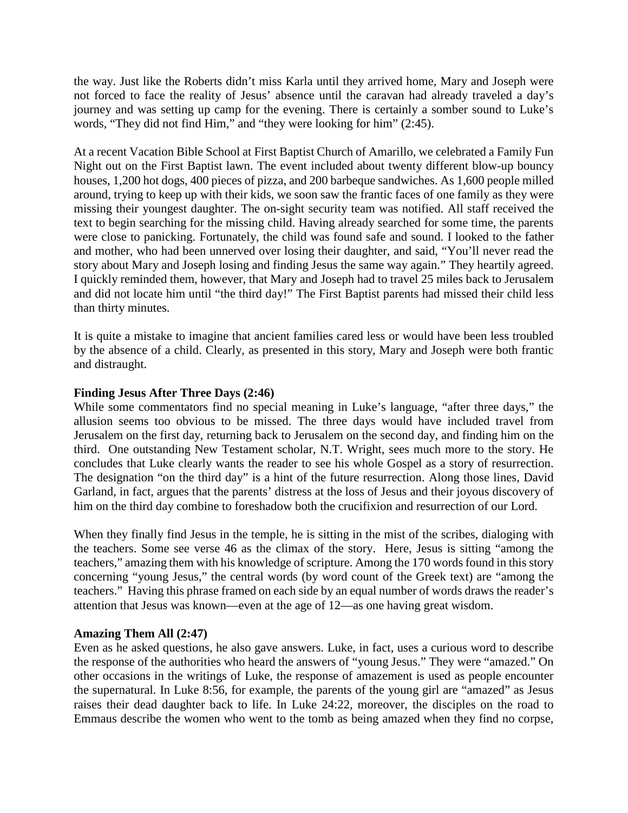the way. Just like the Roberts didn't miss Karla until they arrived home, Mary and Joseph were not forced to face the reality of Jesus' absence until the caravan had already traveled a day's journey and was setting up camp for the evening. There is certainly a somber sound to Luke's words, "They did not find Him," and "they were looking for him" (2:45).

At a recent Vacation Bible School at First Baptist Church of Amarillo, we celebrated a Family Fun Night out on the First Baptist lawn. The event included about twenty different blow-up bouncy houses, 1,200 hot dogs, 400 pieces of pizza, and 200 barbeque sandwiches. As 1,600 people milled around, trying to keep up with their kids, we soon saw the frantic faces of one family as they were missing their youngest daughter. The on-sight security team was notified. All staff received the text to begin searching for the missing child. Having already searched for some time, the parents were close to panicking. Fortunately, the child was found safe and sound. I looked to the father and mother, who had been unnerved over losing their daughter, and said, "You'll never read the story about Mary and Joseph losing and finding Jesus the same way again." They heartily agreed. I quickly reminded them, however, that Mary and Joseph had to travel 25 miles back to Jerusalem and did not locate him until "the third day!" The First Baptist parents had missed their child less than thirty minutes.

It is quite a mistake to imagine that ancient families cared less or would have been less troubled by the absence of a child. Clearly, as presented in this story, Mary and Joseph were both frantic and distraught.

#### **Finding Jesus After Three Days (2:46)**

While some commentators find no special meaning in Luke's language, "after three days," the allusion seems too obvious to be missed. The three days would have included travel from Jerusalem on the first day, returning back to Jerusalem on the second day, and finding him on the third. One outstanding New Testament scholar, N.T. Wright, sees much more to the story. He concludes that Luke clearly wants the reader to see his whole Gospel as a story of resurrection. The designation "on the third day" is a hint of the future resurrection. Along those lines, David Garland, in fact, argues that the parents' distress at the loss of Jesus and their joyous discovery of him on the third day combine to foreshadow both the crucifixion and resurrection of our Lord.

When they finally find Jesus in the temple, he is sitting in the mist of the scribes, dialoging with the teachers. Some see verse 46 as the climax of the story. Here, Jesus is sitting "among the teachers," amazing them with his knowledge of scripture. Among the 170 words found in this story concerning "young Jesus," the central words (by word count of the Greek text) are "among the teachers." Having this phrase framed on each side by an equal number of words draws the reader's attention that Jesus was known—even at the age of 12—as one having great wisdom.

#### **Amazing Them All (2:47)**

Even as he asked questions, he also gave answers. Luke, in fact, uses a curious word to describe the response of the authorities who heard the answers of "young Jesus." They were "amazed." On other occasions in the writings of Luke, the response of amazement is used as people encounter the supernatural. In Luke 8:56, for example, the parents of the young girl are "amazed" as Jesus raises their dead daughter back to life. In Luke 24:22, moreover, the disciples on the road to Emmaus describe the women who went to the tomb as being amazed when they find no corpse,